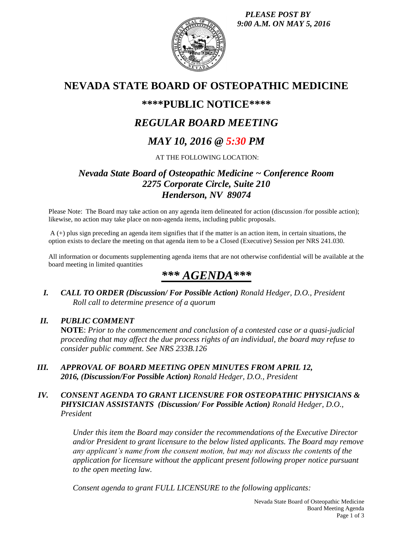*PLEASE POST BY 9:00 A.M. ON MAY 5, 2016*



# **NEVADA STATE BOARD OF OSTEOPATHIC MEDICINE**

# **\*\*\*\*PUBLIC NOTICE\*\*\*\***

# *REGULAR BOARD MEETING*

# *MAY 10, 2016 @ 5:30 PM*

AT THE FOLLOWING LOCATION:

# *Nevada State Board of Osteopathic Medicine ~ Conference Room 2275 Corporate Circle, Suite 210 Henderson, NV 89074*

Please Note: The Board may take action on any agenda item delineated for action (discussion /for possible action); likewise, no action may take place on non-agenda items, including public proposals.

A (+) plus sign preceding an agenda item signifies that if the matter is an action item, in certain situations, the option exists to declare the meeting on that agenda item to be a Closed (Executive) Session per NRS 241.030.

All information or documents supplementing agenda items that are not otherwise confidential will be available at the board meeting in limited quantities

# *\*\*\* AGENDA\*\*\**

*I. CALL TO ORDER (Discussion/ For Possible Action) Ronald Hedger, D.O., President Roll call to determine presence of a quorum*

# *II. PUBLIC COMMENT*

**NOTE**: *Prior to the commencement and conclusion of a contested case or a quasi-judicial proceeding that may affect the due process rights of an individual, the board may refuse to consider public comment. See NRS 233B.126*

- *III. APPROVAL OF BOARD MEETING OPEN MINUTES FROM APRIL 12, 2016, (Discussion/For Possible Action) Ronald Hedger, D.O., President*
- *IV. CONSENT AGENDA TO GRANT LICENSURE FOR OSTEOPATHIC PHYSICIANS & PHYSICIAN ASSISTANTS (Discussion/ For Possible Action) Ronald Hedger, D.O., President*

*Under this item the Board may consider the recommendations of the Executive Director and/or President to grant licensure to the below listed applicants. The Board may remove any applicant's name from the consent motion, but may not discuss the contents of the application for licensure without the applicant present following proper notice pursuant to the open meeting law.* 

*Consent agenda to grant FULL LICENSURE to the following applicants:*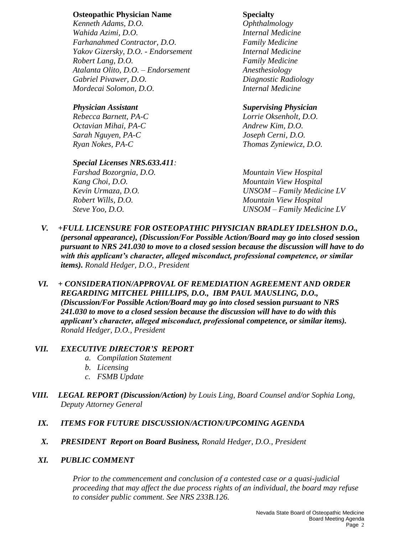### **Osteopathic Physician Name Specialty**

*Kenneth Adams, D.O. Ophthalmology Wahida Azimi, D.O. Internal Medicine Farhanahmed Contractor, D.O. Family Medicine Yakov Gizersky, D.O. - Endorsement Internal Medicine Robert Lang, D.O. Family Medicine Atalanta Olito, D.O. – Endorsement Anesthesiology Gabriel Pivawer, D.O. Diagnostic Radiology Mordecai Solomon, D.O. Internal Medicine*

*Octavian Mihai, PA-C Andrew Kim, D.O. Sarah Nguyen, PA-C Joseph Cerni, D.O. Ryan Nokes, PA-C Thomas Zyniewicz, D.O.*

## *Special Licenses NRS.633.411:*

## *Physician Assistant Supervising Physician*

*Rebecca Barnett, PA-C Lorrie Oksenholt, D.O.*

*Farshad Bozorgnia, D.O. Mountain View Hospital Kang Choi, D.O. Mountain View Hospital Kevin Urmaza, D.O. UNSOM – Family Medicine LV Robert Wills, D.O. Mountain View Hospital Steve Yoo, D.O. UNSOM – Family Medicine LV*

- *V. +FULL LICENSURE FOR OSTEOPATHIC PHYSICIAN BRADLEY IDELSHON D.O., (personal appearance), (Discussion/For Possible Action/Board may go into closed* **session** *pursuant to NRS 241.030 to move to a closed session because the discussion will have to do with this applicant's character, alleged misconduct, professional competence, or similar items). Ronald Hedger, D.O., President*
- *VI. + CONSIDERATION/APPROVAL OF REMEDIATION AGREEMENT AND ORDER REGARDING MITCHEL PHILLIPS, D.O., IBM PAUL MAUSLING, D.O., (Discussion/For Possible Action/Board may go into closed* **session** *pursuant to NRS 241.030 to move to a closed session because the discussion will have to do with this applicant's character, alleged misconduct, professional competence, or similar items). Ronald Hedger, D.O., President*

## *VII. EXECUTIVE DIRECTOR'S REPORT*

- *a. Compilation Statement*
- *b. Licensing*
- *c. FSMB Update*
- *VIII. LEGAL REPORT (Discussion/Action) by Louis Ling, Board Counsel and/or Sophia Long, Deputy Attorney General*

## *IX. ITEMS FOR FUTURE DISCUSSION/ACTION/UPCOMING AGENDA*

*X. PRESIDENT Report on Board Business, Ronald Hedger, D.O., President*

## *XI. PUBLIC COMMENT*

*Prior to the commencement and conclusion of a contested case or a quasi-judicial proceeding that may affect the due process rights of an individual, the board may refuse to consider public comment. See NRS 233B.126.*